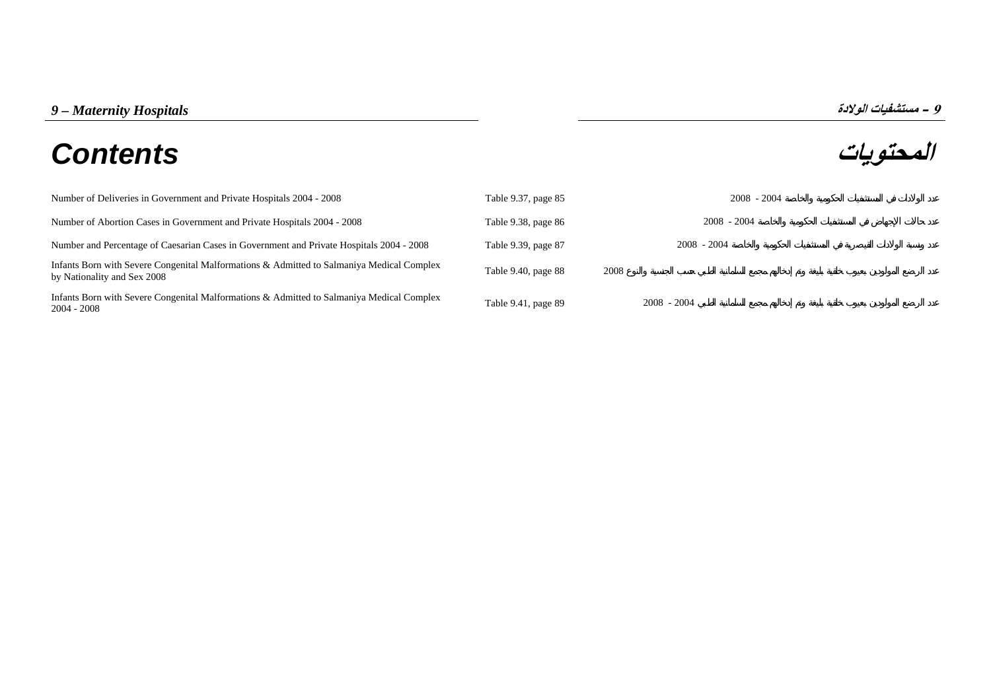# **المحتويات** *Contents*



| Number of Deliveries in Government and Private Hospitals 2004 - 2008                                                     | Table 9.37, page 85 |      | $2008 - 2004$ |
|--------------------------------------------------------------------------------------------------------------------------|---------------------|------|---------------|
| Number of Abortion Cases in Government and Private Hospitals 2004 - 2008                                                 | Table 9.38, page 86 |      | $2008 - 2004$ |
| Number and Percentage of Caesarian Cases in Government and Private Hospitals 2004 - 2008                                 | Table 9.39, page 87 |      | $2008 - 2004$ |
| Infants Born with Severe Congenital Malformations & Admitted to Salmaniya Medical Complex<br>by Nationality and Sex 2008 | Table 9.40, page 88 | 2008 |               |
| Infants Born with Severe Congenital Malformations & Admitted to Salmaniya Medical Complex<br>$2004 - 2008$               | Table 9.41, page 89 |      | $2008 - 2004$ |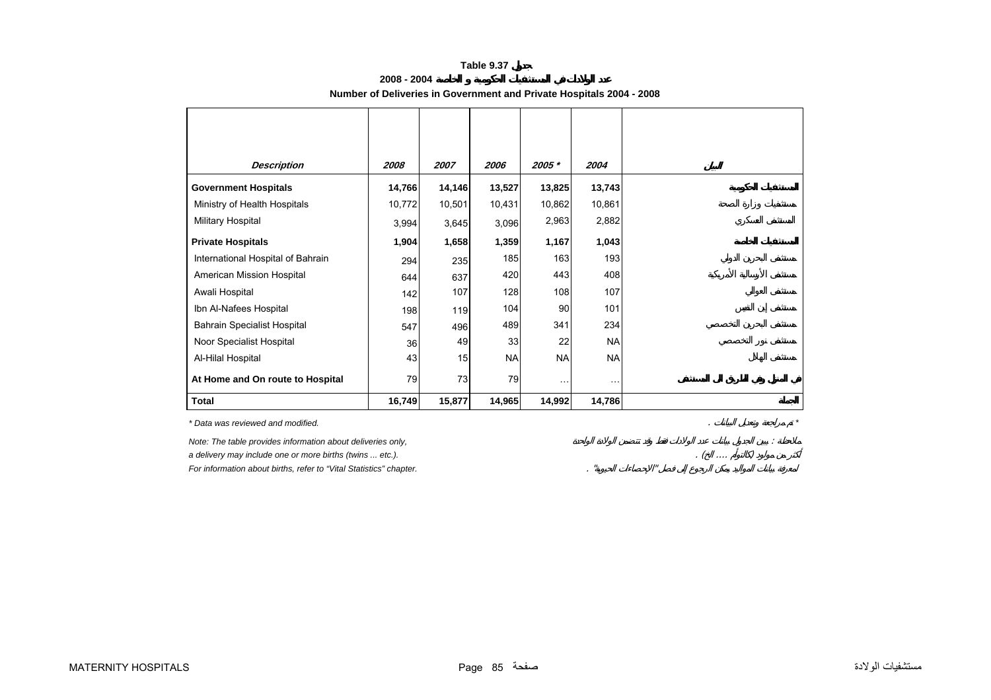| 2008 - 2004                                                          |  |
|----------------------------------------------------------------------|--|
| Number of Deliveries in Government and Private Hospitals 2004 - 2008 |  |

<span id="page-1-0"></span>

| <b>Description</b>                                                 | 2008   | 2007   | 2006   | 2005 *    | 2004      |
|--------------------------------------------------------------------|--------|--------|--------|-----------|-----------|
| <b>Government Hospitals</b>                                        | 14,766 | 14,146 | 13,527 | 13,825    | 13,743    |
| Ministry of Health Hospitals                                       | 10,772 | 10,501 | 10,431 | 10,862    | 10,861    |
| Military Hospital                                                  | 3,994  | 3,645  | 3,096  | 2,963     | 2,882     |
| <b>Private Hospitals</b>                                           | 1,904  | 1,658  | 1,359  | 1,167     | 1,043     |
| International Hospital of Bahrain                                  | 294    | 235    | 185    | 163       | 193       |
| American Mission Hospital                                          | 644    | 637    | 420    | 443       | 408       |
| Awali Hospital                                                     | 142    | 107    | 128    | 108       | 107       |
| Ibn Al-Nafees Hospital                                             | 198    | 119    | 104    | 90        | 101       |
| <b>Bahrain Specialist Hospital</b>                                 | 547    | 496    | 489    | 341       | 234       |
| Noor Specialist Hospital                                           | 36     | 49     | 33     | 22        | <b>NA</b> |
| Al-Hilal Hospital                                                  | 43     | 15     | NA     | <b>NA</b> | <b>NA</b> |
| At Home and On route to Hospital                                   | 79     | 73     | 79     | $\ddotsc$ | .         |
| <b>Total</b>                                                       | 16,749 | 15,877 | 14,965 | 14,992    | 14,786    |
| * Data was reviewed and modified.                                  |        |        |        |           |           |
| Note: The table provides information about deliveries only,        |        |        |        |           |           |
| a delivery may include one or more births (twins  etc.).           |        |        |        |           |           |
| For information about births, refer to "Vital Statistics" chapter. |        |        |        |           |           |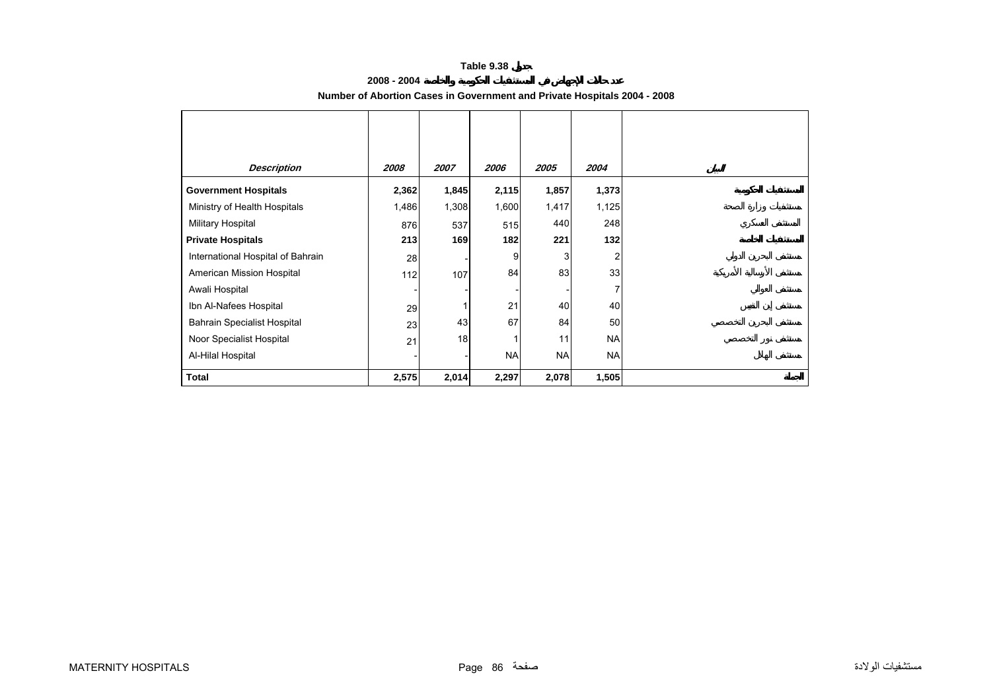## **2008 - 2004**

<span id="page-2-0"></span>

| <b>Description</b>                 | 2008  | 2007  | 2006      | 2005      | 2004      |
|------------------------------------|-------|-------|-----------|-----------|-----------|
| <b>Government Hospitals</b>        | 2,362 | 1,845 | 2,115     | 1,857     | 1,373     |
| Ministry of Health Hospitals       | 1,486 | 1,308 | 1,600     | 1,417     | 1,125     |
| Military Hospital                  | 876   | 537   | 515       | 440       | 248       |
| <b>Private Hospitals</b>           | 213   | 169   | 182       | 221       | 132       |
| International Hospital of Bahrain  | 28    |       | 9         |           |           |
| American Mission Hospital          | 112   | 107   | 84        | 83        | 33        |
| Awali Hospital                     |       |       |           |           |           |
| Ibn Al-Nafees Hospital             | 29    |       | 21        | 40        | 40        |
| <b>Bahrain Specialist Hospital</b> | 23    | 43    | 67        | 84        | 50        |
| Noor Specialist Hospital           | 21    | 18    |           | 11        | <b>NA</b> |
| Al-Hilal Hospital                  |       |       | <b>NA</b> | <b>NA</b> | <b>NA</b> |
| <b>Total</b>                       | 2,575 | 2,014 | 2,297     | 2,078     | 1,505     |

## **Number of Abortion Cases in Government and Private Hospitals 2004 - 2008**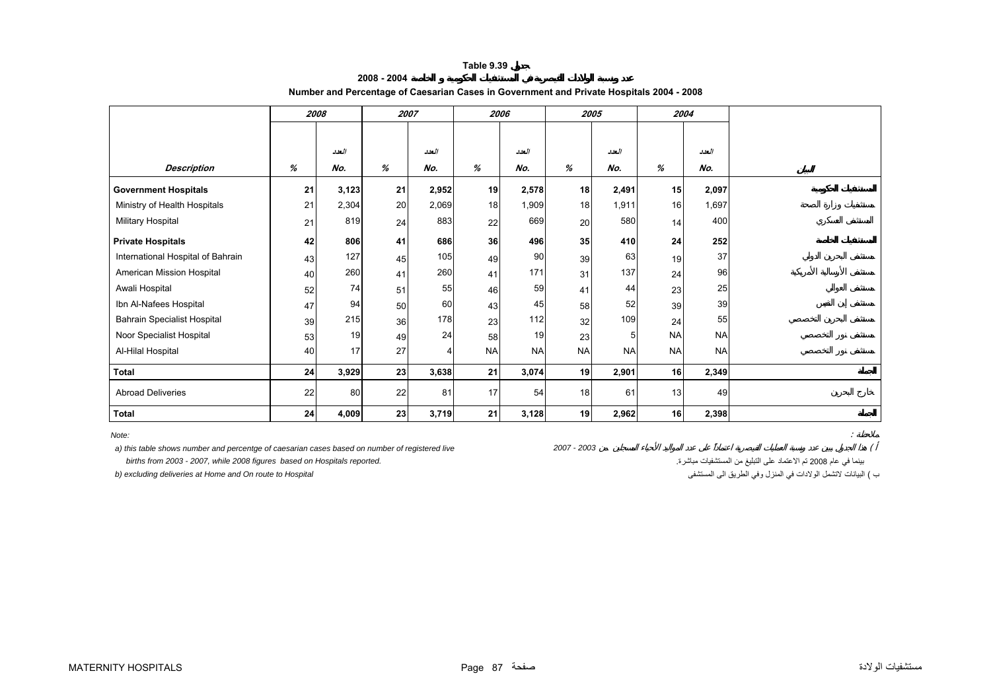<span id="page-3-0"></span>

|                                   |    | 2008  |    | 2007  |           | 2006      |           | 2005      |                 | 2004      |  |
|-----------------------------------|----|-------|----|-------|-----------|-----------|-----------|-----------|-----------------|-----------|--|
|                                   |    |       |    |       |           |           |           |           |                 |           |  |
|                                   |    | العدد |    | العدد |           | العدد     |           | العدد     |                 | العدد     |  |
|                                   |    |       |    |       |           |           |           |           |                 |           |  |
| <b>Description</b>                | %  | No.   | %  | No.   | %         | No.       | %         | No.       | %               | No.       |  |
| <b>Government Hospitals</b>       | 21 | 3,123 | 21 | 2,952 | 19        | 2,578     | 18        | 2,491     | 15              | 2,097     |  |
| Ministry of Health Hospitals      | 21 | 2,304 | 20 | 2,069 | 18        | 1,909     | 18        | 1,911     | 16              | 1,697     |  |
| <b>Military Hospital</b>          | 21 | 819   | 24 | 883   | 22        | 669       | 20        | 580       | 14              | 400       |  |
| <b>Private Hospitals</b>          | 42 | 806   | 41 | 686   | 36        | 496       | 35        | 410       | 24              | 252       |  |
| International Hospital of Bahrain | 43 | 127   | 45 | 105   | 49        | 90        | 39        | 63        | 19              | 37        |  |
| American Mission Hospital         | 40 | 260   | 41 | 260   | 41        | 171       | 31        | 137       | 24              | 96        |  |
| Awali Hospital                    | 52 | 74    | 51 | 55    | 46        | 59        | 41        | 44        | 23              | 25        |  |
| Ibn Al-Nafees Hospital            | 47 | 94    | 50 | 60    | 43        | 45        | 58        | 52        | 39              | 39        |  |
| Bahrain Specialist Hospital       | 39 | 215   | 36 | 178   | 23        | 112       | 32        | 109       | 24              | 55        |  |
| Noor Specialist Hospital          | 53 | 19    | 49 | 24    | 58        | 19        | 23        | 5         | <b>NA</b>       | <b>NA</b> |  |
| Al-Hilal Hospital                 | 40 | 17    | 27 |       | <b>NA</b> | <b>NA</b> | <b>NA</b> | <b>NA</b> | <b>NA</b>       | <b>NA</b> |  |
| <b>Total</b>                      | 24 | 3,929 | 23 | 3,638 | 21        | 3,074     | 19        | 2,901     | 16 <sup>1</sup> | 2,349     |  |
| <b>Abroad Deliveries</b>          | 22 | 80    | 22 | 81    | 17        | 54        | 18        | 61        | 13              | 49        |  |
| Total                             | 24 | 4,009 | 23 | 3,719 | 21        | 3,128     | 19        | 2,962     | 16              | 2,398     |  |

## **2008 - 2004Number and Percentage of Caesarian Cases in Government and Private Hospitals 2004 - 2008**

*Note:*:

 *a) this table shows number and percentge of caesarian cases based on number of registered live 2007 - 2003* (

بينما في عام <sup>2008</sup> تم الاعتماد على التبليغ من المستشفيات مباشرة. *.reported Hospitals on based figures 2008 while 2007, - 2003 from births* 

ب ) البيانات لاتشمل الولادات في المنزل وفي الطريق الى المستشفى المستشفى المستشفى المستشفى المستشفى المستشفى ال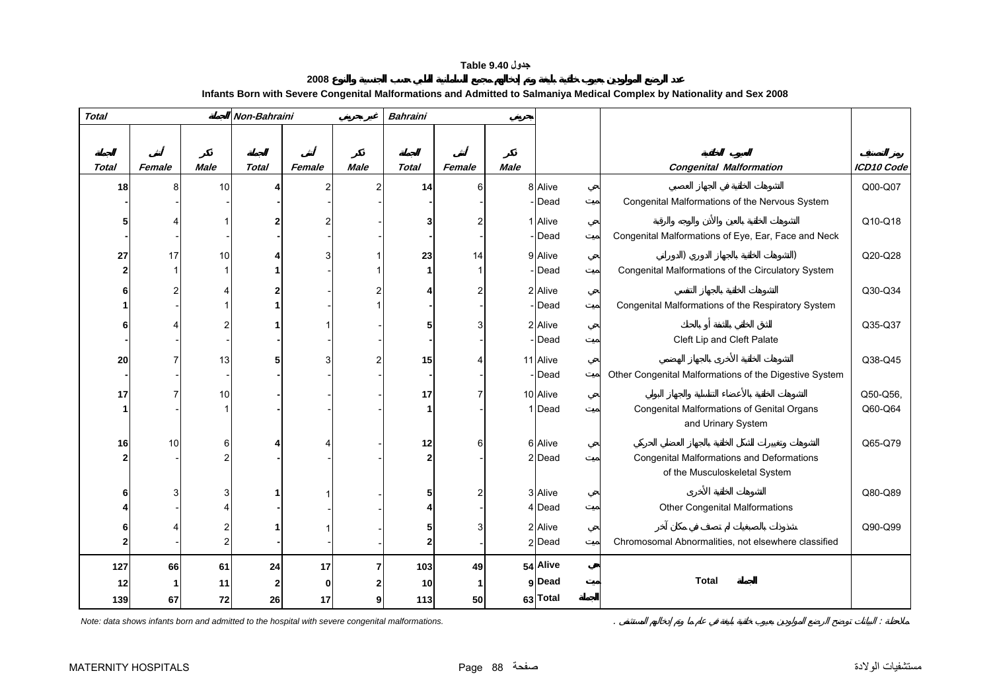# **جدول 9.40 Table**

| 2008                                                                                                                    |  |
|-------------------------------------------------------------------------------------------------------------------------|--|
| Infants Born with Severe Congenital Malformations and Admitted to Salmaniya Medical Complex by Nationality and Sex 2008 |  |

<span id="page-4-0"></span>

| <b>Total</b>    |        |             | Non-Bahraini |             |             | <b>Bahraini</b> |        |             |                   |                                                                                   |            |
|-----------------|--------|-------------|--------------|-------------|-------------|-----------------|--------|-------------|-------------------|-----------------------------------------------------------------------------------|------------|
|                 |        |             |              |             |             |                 |        |             |                   |                                                                                   |            |
|                 |        |             |              |             |             |                 |        |             |                   |                                                                                   |            |
| <b>Total</b>    | Female | <b>Male</b> | <b>Total</b> | Female      | <b>Male</b> | <b>Total</b>    | Female | <b>Male</b> |                   | <b>Congenital Malformation</b>                                                    | ICD10 Code |
| 18 <sup>1</sup> |        | 10          |              |             | 2           | 14              | 6      |             | 8 Alive           |                                                                                   | Q00-Q07    |
|                 |        |             |              |             |             |                 |        |             | - Dead            | Congenital Malformations of the Nervous System                                    |            |
|                 |        |             |              |             |             |                 | 2      |             | 1 Alive           |                                                                                   | Q10-Q18    |
|                 |        |             |              |             |             |                 |        |             | - Dead            | Congenital Malformations of Eye, Ear, Face and Neck                               |            |
| 27              | 17     | 10          |              |             |             | 23              | 14     |             | 9 Alive           |                                                                                   | Q20-Q28    |
|                 |        |             |              |             |             |                 | 1      |             | - Dead            | Congenital Malformations of the Circulatory System                                |            |
|                 |        |             |              |             |             |                 | 2      |             | 2 Alive           |                                                                                   | Q30-Q34    |
|                 |        |             |              |             |             |                 |        |             | -Dead             | Congenital Malformations of the Respiratory System                                |            |
|                 |        |             |              |             |             |                 | 3      |             | 2 Alive           |                                                                                   | Q35-Q37    |
|                 |        |             |              |             |             |                 |        |             | - Dead            | Cleft Lip and Cleft Palate                                                        |            |
| 20              |        | 13          |              |             |             | 15              | 4      |             | 11 Alive          |                                                                                   | Q38-Q45    |
|                 |        |             |              |             |             |                 |        |             | - Dead            | Other Congenital Malformations of the Digestive System                            |            |
| 17              |        | 10          |              |             |             | 17              | 7      |             | 10 Alive          |                                                                                   | Q50-Q56,   |
|                 |        |             |              |             |             |                 |        |             | 1 Dead            | Congenital Malformations of Genital Organs                                        | Q60-Q64    |
|                 |        |             |              |             |             |                 |        |             |                   | and Urinary System                                                                |            |
| 16              | 10     | 6           |              |             |             | 12              | 6      |             | 6 Alive           |                                                                                   | Q65-Q79    |
|                 |        |             |              |             |             | 2               |        |             | 2 Dead            | <b>Congenital Malformations and Deformations</b><br>of the Musculoskeletal System |            |
|                 |        |             |              |             |             |                 |        |             |                   |                                                                                   |            |
|                 |        |             |              |             |             | 5               | 2      |             | 3 Alive<br>4 Dead | <b>Other Congenital Malformations</b>                                             | Q80-Q89    |
|                 |        |             |              |             |             |                 |        |             |                   |                                                                                   |            |
|                 |        |             |              |             |             | 5<br>2          | 3      |             | 2 Alive<br>2 Dead | Chromosomal Abnormalities, not elsewhere classified                               | Q90-Q99    |
|                 |        |             |              |             |             |                 |        |             |                   |                                                                                   |            |
| 127             | 66     | 61          | 24           | 17          |             | 103             | 49     |             | 54 Alive          |                                                                                   |            |
| 12              |        | 11          | 2            | $\mathbf 0$ |             | 10              | 1      |             | g Dead            | <b>Total</b>                                                                      |            |
| 139             | 67     | 72          | 26           | 17          | g           | 113             | 50     |             | 63 Total          |                                                                                   |            |

*Note: data shows infants born and admitted to the hospital with severe congenital malformations.* . :